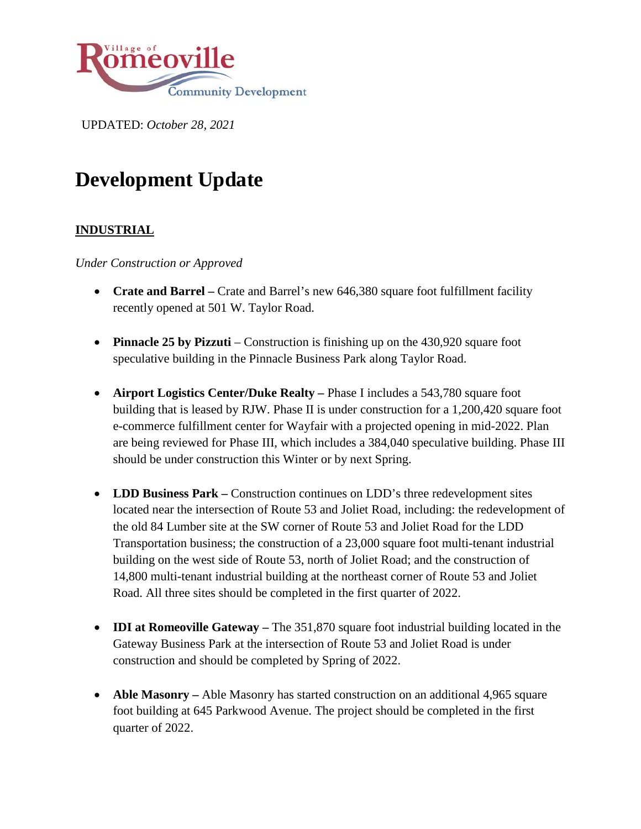

UPDATED: *October 28, 2021*

# **Development Update**

## **INDUSTRIAL**

*Under Construction or Approved*

- **Crate and Barrel** Crate and Barrel's new 646,380 square foot fulfillment facility recently opened at 501 W. Taylor Road.
- **Pinnacle 25 by Pizzuti** Construction is finishing up on the 430,920 square foot speculative building in the Pinnacle Business Park along Taylor Road.
- **Airport Logistics Center/Duke Realty** Phase I includes a 543,780 square foot building that is leased by RJW. Phase II is under construction for a 1,200,420 square foot e-commerce fulfillment center for Wayfair with a projected opening in mid-2022. Plan are being reviewed for Phase III, which includes a 384,040 speculative building. Phase III should be under construction this Winter or by next Spring.
- **LDD Business Park –** Construction continues on LDD's three redevelopment sites located near the intersection of Route 53 and Joliet Road, including: the redevelopment of the old 84 Lumber site at the SW corner of Route 53 and Joliet Road for the LDD Transportation business; the construction of a 23,000 square foot multi-tenant industrial building on the west side of Route 53, north of Joliet Road; and the construction of 14,800 multi-tenant industrial building at the northeast corner of Route 53 and Joliet Road. All three sites should be completed in the first quarter of 2022.
- **IDI at Romeoville Gateway –** The 351,870 square foot industrial building located in the Gateway Business Park at the intersection of Route 53 and Joliet Road is under construction and should be completed by Spring of 2022.
- **Able Masonry** Able Masonry has started construction on an additional 4,965 square foot building at 645 Parkwood Avenue. The project should be completed in the first quarter of 2022.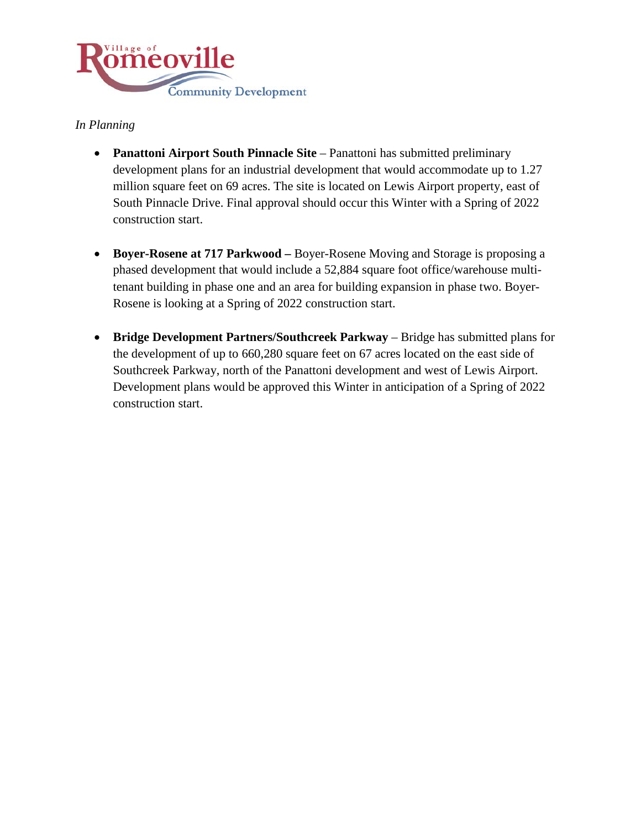

## *In Planning*

- **Panattoni Airport South Pinnacle Site** Panattoni has submitted preliminary development plans for an industrial development that would accommodate up to 1.27 million square feet on 69 acres. The site is located on Lewis Airport property, east of South Pinnacle Drive. Final approval should occur this Winter with a Spring of 2022 construction start.
- **Boyer-Rosene at 717 Parkwood –** Boyer-Rosene Moving and Storage is proposing a phased development that would include a 52,884 square foot office/warehouse multitenant building in phase one and an area for building expansion in phase two. Boyer-Rosene is looking at a Spring of 2022 construction start.
- **Bridge Development Partners/Southcreek Parkway** Bridge has submitted plans for the development of up to 660,280 square feet on 67 acres located on the east side of Southcreek Parkway, north of the Panattoni development and west of Lewis Airport. Development plans would be approved this Winter in anticipation of a Spring of 2022 construction start.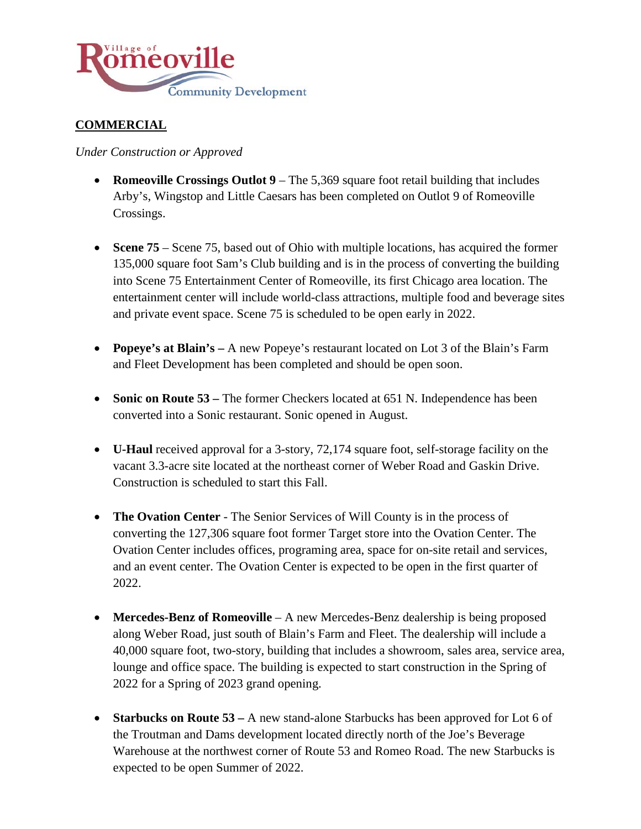

# **COMMERCIAL**

*Under Construction or Approved*

- **Romeoville Crossings Outlot 9** The 5,369 square foot retail building that includes Arby's, Wingstop and Little Caesars has been completed on Outlot 9 of Romeoville Crossings.
- **Scene 75** Scene 75, based out of Ohio with multiple locations, has acquired the former 135,000 square foot Sam's Club building and is in the process of converting the building into Scene 75 Entertainment Center of Romeoville, its first Chicago area location. The entertainment center will include world-class attractions, multiple food and beverage sites and private event space. Scene 75 is scheduled to be open early in 2022.
- **Popeye's at Blain's –** A new Popeye's restaurant located on Lot 3 of the Blain's Farm and Fleet Development has been completed and should be open soon.
- **Sonic on Route 53** The former Checkers located at 651 N. Independence has been converted into a Sonic restaurant. Sonic opened in August.
- **U-Haul** received approval for a 3-story, 72,174 square foot, self-storage facility on the vacant 3.3-acre site located at the northeast corner of Weber Road and Gaskin Drive. Construction is scheduled to start this Fall.
- **The Ovation Center** The Senior Services of Will County is in the process of converting the 127,306 square foot former Target store into the Ovation Center. The Ovation Center includes offices, programing area, space for on-site retail and services, and an event center. The Ovation Center is expected to be open in the first quarter of 2022.
- **Mercedes-Benz of Romeoville** A new Mercedes-Benz dealership is being proposed along Weber Road, just south of Blain's Farm and Fleet. The dealership will include a 40,000 square foot, two-story, building that includes a showroom, sales area, service area, lounge and office space. The building is expected to start construction in the Spring of 2022 for a Spring of 2023 grand opening.
- **Starbucks on Route 53** A new stand-alone Starbucks has been approved for Lot 6 of the Troutman and Dams development located directly north of the Joe's Beverage Warehouse at the northwest corner of Route 53 and Romeo Road. The new Starbucks is expected to be open Summer of 2022.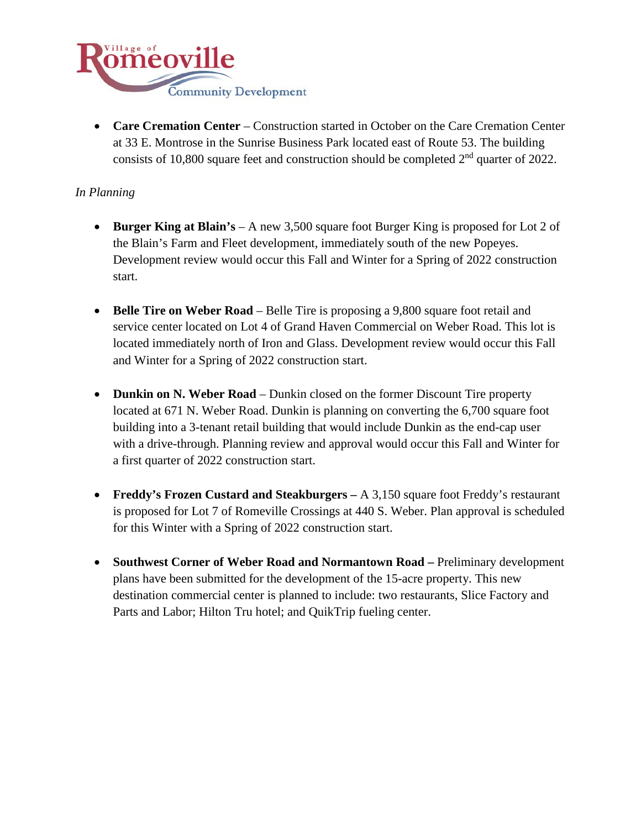

• **Care Cremation Center** – Construction started in October on the Care Cremation Center at 33 E. Montrose in the Sunrise Business Park located east of Route 53. The building consists of 10,800 square feet and construction should be completed  $2<sup>nd</sup>$  quarter of 2022.

#### *In Planning*

- **Burger King at Blain's** A new 3,500 square foot Burger King is proposed for Lot 2 of the Blain's Farm and Fleet development, immediately south of the new Popeyes. Development review would occur this Fall and Winter for a Spring of 2022 construction start.
- **Belle Tire on Weber Road** Belle Tire is proposing a 9,800 square foot retail and service center located on Lot 4 of Grand Haven Commercial on Weber Road. This lot is located immediately north of Iron and Glass. Development review would occur this Fall and Winter for a Spring of 2022 construction start.
- **Dunkin on N. Weber Road** Dunkin closed on the former Discount Tire property located at 671 N. Weber Road. Dunkin is planning on converting the 6,700 square foot building into a 3-tenant retail building that would include Dunkin as the end-cap user with a drive-through. Planning review and approval would occur this Fall and Winter for a first quarter of 2022 construction start.
- **Freddy's Frozen Custard and Steakburgers –** A 3,150 square foot Freddy's restaurant is proposed for Lot 7 of Romeville Crossings at 440 S. Weber. Plan approval is scheduled for this Winter with a Spring of 2022 construction start.
- **Southwest Corner of Weber Road and Normantown Road –** Preliminary development plans have been submitted for the development of the 15-acre property. This new destination commercial center is planned to include: two restaurants, Slice Factory and Parts and Labor; Hilton Tru hotel; and QuikTrip fueling center.